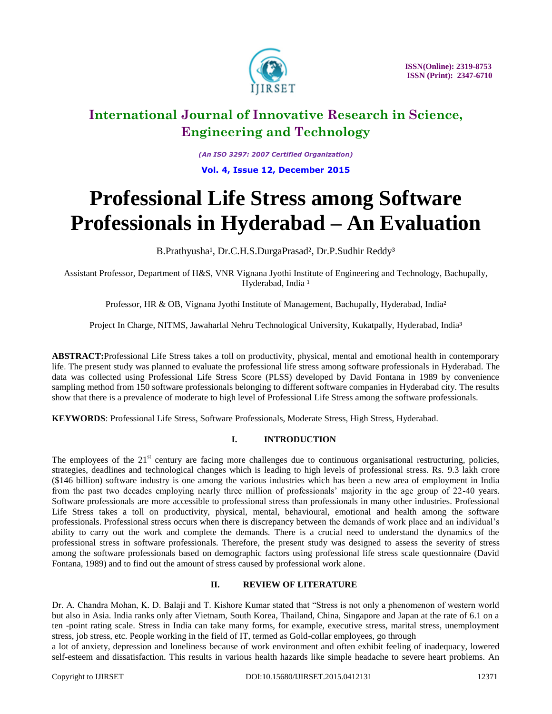

*(An ISO 3297: 2007 Certified Organization)* **Vol. 4, Issue 12, December 2015**

# **Professional Life Stress among Software Professionals in Hyderabad – An Evaluation**

B.Prathyusha<sup>1</sup>, Dr.C.H.S.DurgaPrasad<sup>2</sup>, Dr.P.Sudhir Reddy<sup>3</sup>

Assistant Professor, Department of H&S, VNR Vignana Jyothi Institute of Engineering and Technology, Bachupally, Hyderabad, India<sup>1</sup>

Professor, HR & OB, Vignana Jyothi Institute of Management, Bachupally, Hyderabad, India²

Project In Charge, NITMS, Jawaharlal Nehru Technological University, Kukatpally, Hyderabad, India<sup>3</sup>

**ABSTRACT:**Professional Life Stress takes a toll on productivity, physical, mental and emotional health in contemporary life. The present study was planned to evaluate the professional life stress among software professionals in Hyderabad. The data was collected using Professional Life Stress Score (PLSS) developed by David Fontana in 1989 by convenience sampling method from 150 software professionals belonging to different software companies in Hyderabad city. The results show that there is a prevalence of moderate to high level of Professional Life Stress among the software professionals.

**KEYWORDS**: Professional Life Stress, Software Professionals, Moderate Stress, High Stress, Hyderabad.

### **I. INTRODUCTION**

The employees of the  $21<sup>st</sup>$  century are facing more challenges due to continuous organisational restructuring, policies, strategies, deadlines and technological changes which is leading to high levels of professional stress. Rs. 9.3 lakh crore (\$146 billion) software industry is one among the various industries which has been a new area of employment in India from the past two decades employing nearly three million of professionals' majority in the age group of 22-40 years. Software professionals are more accessible to professional stress than professionals in many other industries. Professional Life Stress takes a toll on productivity, physical, mental, behavioural, emotional and health among the software professionals. Professional stress occurs when there is discrepancy between the demands of work place and an individual's ability to carry out the work and complete the demands. There is a crucial need to understand the dynamics of the professional stress in software professionals. Therefore, the present study was designed to assess the severity of stress among the software professionals based on demographic factors using professional life stress scale questionnaire (David Fontana, 1989) and to find out the amount of stress caused by professional work alone.

### **II. REVIEW OF LITERATURE**

Dr. A. Chandra Mohan, K. D. Balaji and T. Kishore Kumar stated that "Stress is not only a phenomenon of western world but also in Asia. India ranks only after Vietnam, South Korea, Thailand, China, Singapore and Japan at the rate of 6.1 on a ten -point rating scale. Stress in India can take many forms, for example, executive stress, marital stress, unemployment stress, job stress, etc. People working in the field of IT, termed as Gold-collar employees, go through

a lot of anxiety, depression and loneliness because of work environment and often exhibit feeling of inadequacy, lowered self-esteem and dissatisfaction. This results in various health hazards like simple headache to severe heart problems. An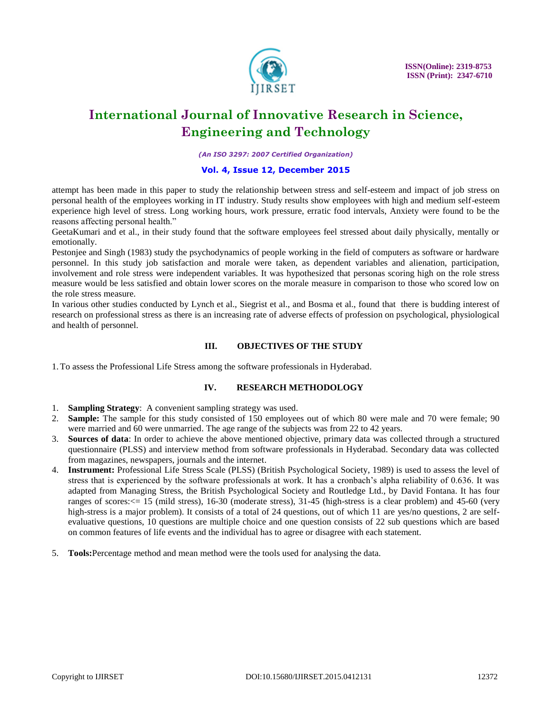

*(An ISO 3297: 2007 Certified Organization)*

#### **Vol. 4, Issue 12, December 2015**

attempt has been made in this paper to study the relationship between stress and self-esteem and impact of job stress on personal health of the employees working in IT industry. Study results show employees with high and medium self-esteem experience high level of stress. Long working hours, work pressure, erratic food intervals, Anxiety were found to be the reasons affecting personal health."

GeetaKumari and et al., in their study found that the software employees feel stressed about daily physically, mentally or emotionally.

Pestonjee and Singh (1983) study the psychodynamics of people working in the field of computers as software or hardware personnel. In this study job satisfaction and morale were taken, as dependent variables and alienation, participation, involvement and role stress were independent variables. It was hypothesized that personas scoring high on the role stress measure would be less satisfied and obtain lower scores on the morale measure in comparison to those who scored low on the role stress measure.

In various other studies conducted by Lynch et al., Siegrist et al., and Bosma et al., found that there is budding interest of research on professional stress as there is an increasing rate of adverse effects of profession on psychological, physiological and health of personnel.

### **III. OBJECTIVES OF THE STUDY**

1.To assess the Professional Life Stress among the software professionals in Hyderabad.

### **IV. RESEARCH METHODOLOGY**

- 1. **Sampling Strategy**: A convenient sampling strategy was used.
- 2. **Sample:** The sample for this study consisted of 150 employees out of which 80 were male and 70 were female; 90 were married and 60 were unmarried. The age range of the subjects was from 22 to 42 years.
- 3. **Sources of data**: In order to achieve the above mentioned objective, primary data was collected through a structured questionnaire (PLSS) and interview method from software professionals in Hyderabad. Secondary data was collected from magazines, newspapers, journals and the internet.
- 4. **Instrument:** Professional Life Stress Scale (PLSS) (British Psychological Society, 1989) is used to assess the level of stress that is experienced by the software professionals at work. It has a cronbach's alpha reliability of 0.636. It was adapted from Managing Stress, the British Psychological Society and Routledge Ltd., by David Fontana. It has four ranges of scores:<= 15 (mild stress), 16-30 (moderate stress), 31-45 (high-stress is a clear problem) and 45-60 (very high-stress is a major problem). It consists of a total of 24 questions, out of which 11 are yes/no questions, 2 are selfevaluative questions, 10 questions are multiple choice and one question consists of 22 sub questions which are based on common features of life events and the individual has to agree or disagree with each statement.
- 5. **Tools:**Percentage method and mean method were the tools used for analysing the data.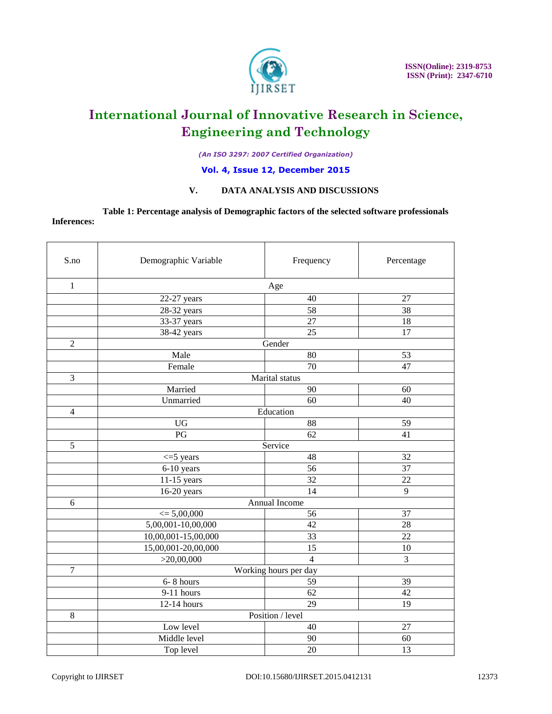

*(An ISO 3297: 2007 Certified Organization)*

### **Vol. 4, Issue 12, December 2015**

### **V. DATA ANALYSIS AND DISCUSSIONS**

**Table 1: Percentage analysis of Demographic factors of the selected software professionals Inferences:** 

| S.no             | Demographic Variable  | Frequency       | Percentage      |
|------------------|-----------------------|-----------------|-----------------|
| $\mathbf{1}$     | Age                   |                 |                 |
|                  | 22-27 years           | 40              | 27              |
|                  | 28-32 years           | 58              | 38              |
|                  | 33-37 years           | $\overline{27}$ | 18              |
|                  | 38-42 years           | 25              | 17              |
| $\mathfrak{2}$   | Gender                |                 |                 |
|                  | Male                  | 80              | 53              |
|                  | Female                | 70              | 47              |
| 3                | Marital status        |                 |                 |
|                  | Married               | 90              | 60              |
|                  | Unmarried             | 60              | 40              |
| $\overline{4}$   | Education             |                 |                 |
|                  | <b>UG</b>             | 88              | 59              |
|                  | PG                    | 62              | 41              |
| $\overline{5}$   | Service               |                 |                 |
|                  | $\leq$ 5 years        | 48              | 32              |
|                  | 6-10 years            | 56              | $\overline{37}$ |
|                  | 11-15 years           | 32              | 22              |
|                  | $16-20$ years         | 14              | 9               |
| 6                | Annual Income         |                 |                 |
|                  | $\leq 5,00,000$       | 56              | 37              |
|                  | 5,00,001-10,00,000    | 42              | 28              |
|                  | 10,00,001-15,00,000   | 33              | $\overline{22}$ |
|                  | 15,00,001-20,00,000   | 15              | 10              |
|                  | >20,00,000            | $\overline{4}$  | 3               |
| $\boldsymbol{7}$ | Working hours per day |                 |                 |
|                  | 6-8 hours             | 59              | 39              |
|                  | 9-11 hours            | 62              | 42              |
|                  | 12-14 hours           | 29              | 19              |
| $\,8\,$          | Position / level      |                 |                 |
|                  | Low level             | 40              | 27              |
|                  | Middle level          | 90              | 60              |
|                  | Top level             | 20              | 13              |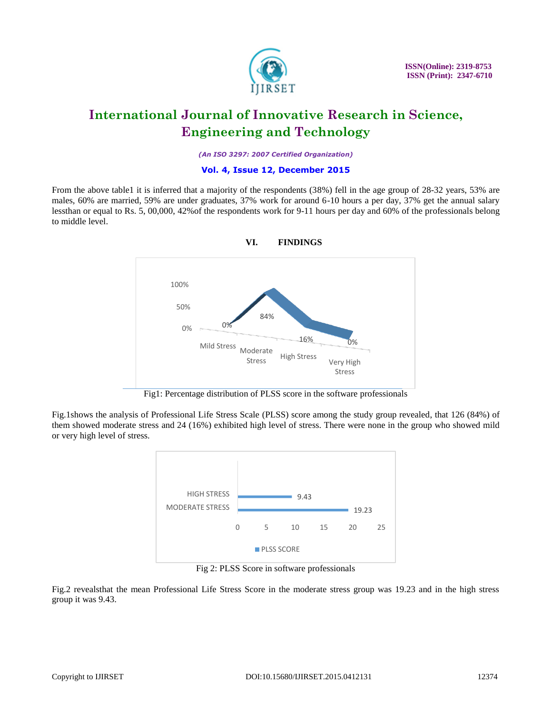

 **ISSN(Online): 2319-8753 ISSN (Print): 2347-6710**

### **International Journal of Innovative Research in Science, Engineering and Technology**

*(An ISO 3297: 2007 Certified Organization)*

#### **Vol. 4, Issue 12, December 2015**

From the above table1 it is inferred that a majority of the respondents (38%) fell in the age group of 28-32 years, 53% are males, 60% are married, 59% are under graduates, 37% work for around 6-10 hours a per day, 37% get the annual salary lessthan or equal to Rs. 5, 00,000, 42%of the respondents work for 9-11 hours per day and 60% of the professionals belong to middle level.



**VI. FINDINGS**

Fig1: Percentage distribution of PLSS score in the software professionals

Fig.1shows the analysis of Professional Life Stress Scale (PLSS) score among the study group revealed, that 126 (84%) of them showed moderate stress and 24 (16%) exhibited high level of stress. There were none in the group who showed mild or very high level of stress.



Fig 2: PLSS Score in software professionals

Fig.2 revealsthat the mean Professional Life Stress Score in the moderate stress group was 19.23 and in the high stress group it was 9.43.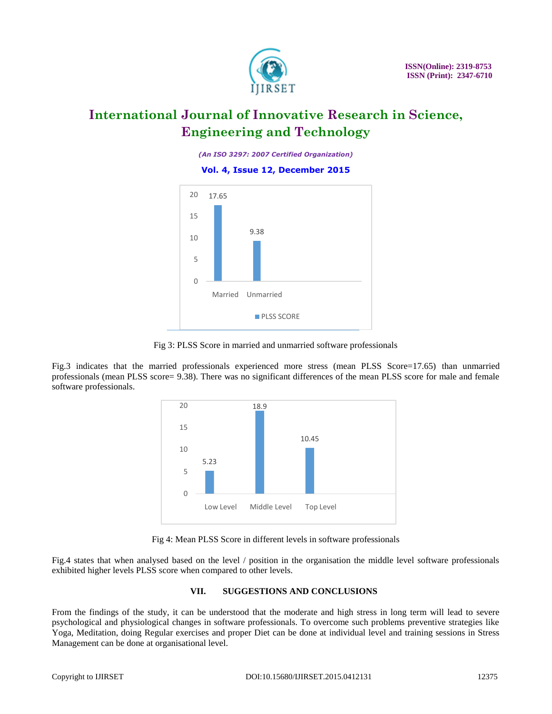

*(An ISO 3297: 2007 Certified Organization)*

#### **Vol. 4, Issue 12, December 2015**



Fig 3: PLSS Score in married and unmarried software professionals

Fig.3 indicates that the married professionals experienced more stress (mean PLSS Score=17.65) than unmarried professionals (mean PLSS score= 9.38). There was no significant differences of the mean PLSS score for male and female software professionals.



Fig 4: Mean PLSS Score in different levels in software professionals

Fig.4 states that when analysed based on the level / position in the organisation the middle level software professionals exhibited higher levels PLSS score when compared to other levels.

### **VII. SUGGESTIONS AND CONCLUSIONS**

From the findings of the study, it can be understood that the moderate and high stress in long term will lead to severe psychological and physiological changes in software professionals. To overcome such problems preventive strategies like Yoga, Meditation, doing Regular exercises and proper Diet can be done at individual level and training sessions in Stress Management can be done at organisational level.